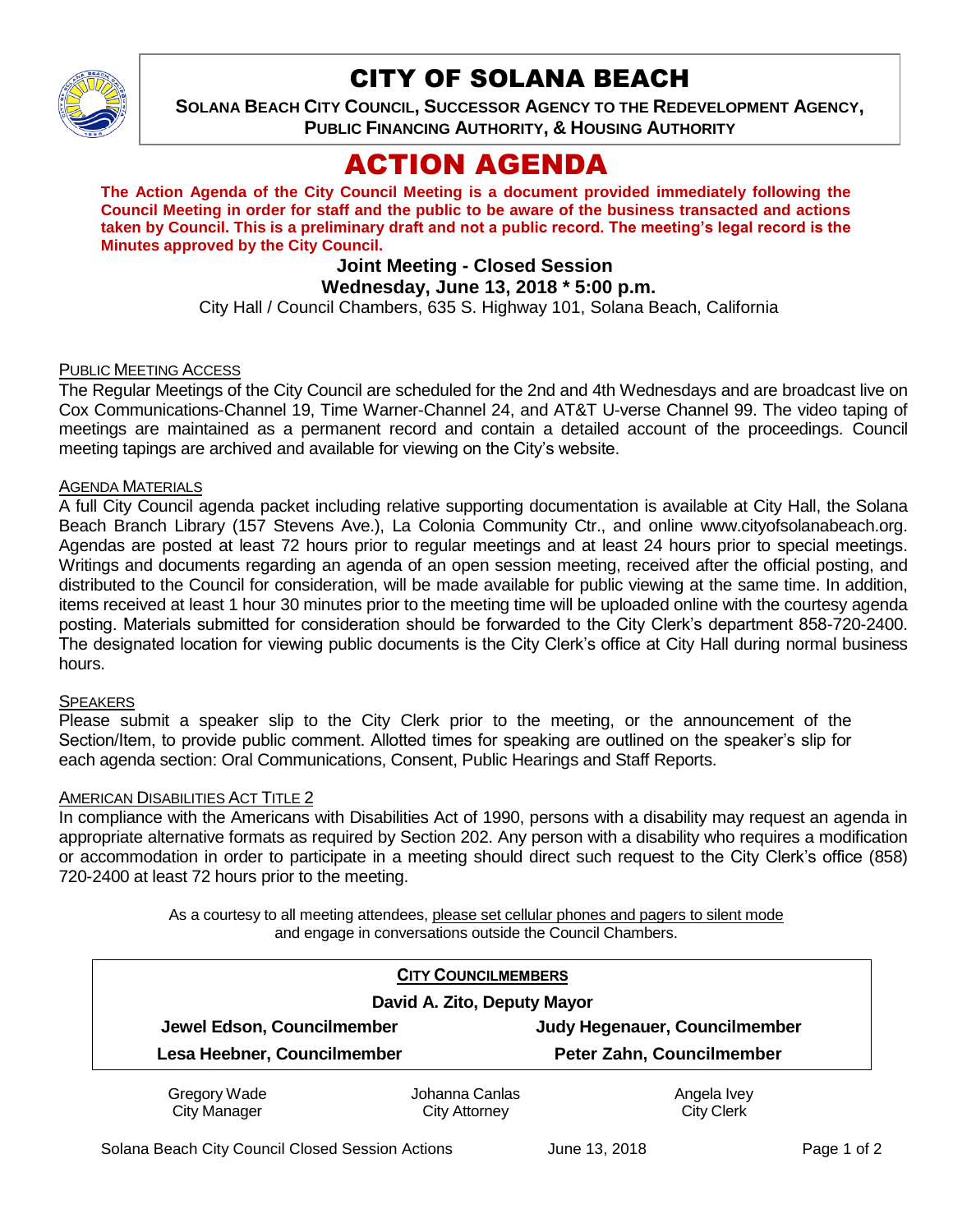

## CITY OF SOLANA BEACH

**SOLANA BEACH CITY COUNCIL, SUCCESSOR AGENCY TO THE REDEVELOPMENT AGENCY, PUBLIC FINANCING AUTHORITY, & HOUSING AUTHORITY**

# ACTION AGENDA

**The Action Agenda of the City Council Meeting is a document provided immediately following the Council Meeting in order for staff and the public to be aware of the business transacted and actions taken by Council. This is a preliminary draft and not a public record. The meeting's legal record is the Minutes approved by the City Council.** 

## **Joint Meeting - Closed Session**

## **Wednesday, June 13, 2018 \* 5:00 p.m.**

City Hall / Council Chambers, 635 S. Highway 101, Solana Beach, California

#### PUBLIC MEETING ACCESS

The Regular Meetings of the City Council are scheduled for the 2nd and 4th Wednesdays and are broadcast live on Cox Communications-Channel 19, Time Warner-Channel 24, and AT&T U-verse Channel 99. The video taping of meetings are maintained as a permanent record and contain a detailed account of the proceedings. Council meeting tapings are archived and available for viewing on the City's website.

#### **AGENDA MATERIALS**

A full City Council agenda packet including relative supporting documentation is available at City Hall, the Solana Beach Branch Library (157 Stevens Ave.), La Colonia Community Ctr., and online www.cityofsolanabeach.org. Agendas are posted at least 72 hours prior to regular meetings and at least 24 hours prior to special meetings. Writings and documents regarding an agenda of an open session meeting, received after the official posting, and distributed to the Council for consideration, will be made available for public viewing at the same time. In addition, items received at least 1 hour 30 minutes prior to the meeting time will be uploaded online with the courtesy agenda posting. Materials submitted for consideration should be forwarded to the City Clerk's department 858-720-2400. The designated location for viewing public documents is the City Clerk's office at City Hall during normal business hours.

#### SPEAKERS

Please submit a speaker slip to the City Clerk prior to the meeting, or the announcement of the Section/Item, to provide public comment. Allotted times for speaking are outlined on the speaker's slip for each agenda section: Oral Communications, Consent, Public Hearings and Staff Reports.

#### AMERICAN DISABILITIES ACT TITLE 2

In compliance with the Americans with Disabilities Act of 1990, persons with a disability may request an agenda in appropriate alternative formats as required by Section 202. Any person with a disability who requires a modification or accommodation in order to participate in a meeting should direct such request to the City Clerk's office (858) 720-2400 at least 72 hours prior to the meeting.

> As a courtesy to all meeting attendees, please set cellular phones and pagers to silent mode and engage in conversations outside the Council Chambers.

|                             | <b>CITY COUNCILMEMBERS</b> |                               |
|-----------------------------|----------------------------|-------------------------------|
| David A. Zito, Deputy Mayor |                            |                               |
| Jewel Edson, Councilmember  |                            | Judy Hegenauer, Councilmember |
| Lesa Heebner, Councilmember |                            | Peter Zahn, Councilmember     |
| Gregory Wade                | Johanna Canlas             | Angela Ivey                   |
| <b>City Manager</b>         | City Attorney              | <b>City Clerk</b>             |